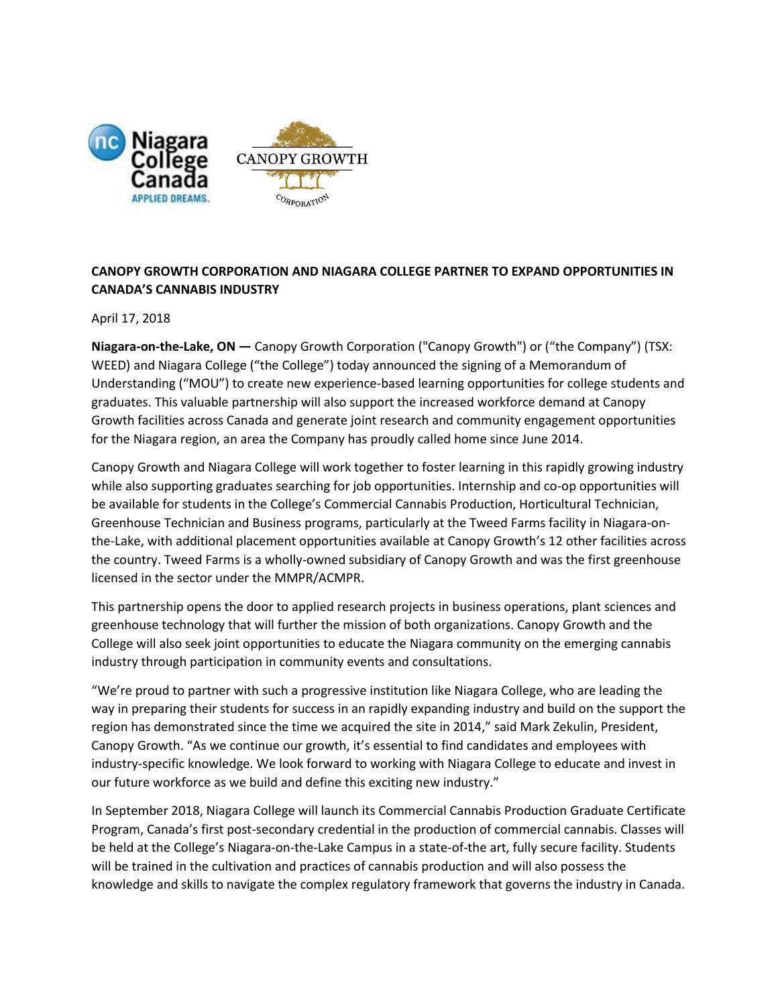

# **CANOPY GROWTH CORPORATION AND NIAGARA COLLEGE PARTNER TO EXPAND OPPORTUNITIES IN CANADA'S CANNABIS INDUSTRY**

April 17, 2018

**Niagara-on-the-Lake, ON —** Canopy Growth Corporation ("Canopy Growth") or ("the Company") (TSX: WEED) and Niagara College ("the College") today announced the signing of a Memorandum of Understanding ("MOU") to create new experience-based learning opportunities for college students and graduates. This valuable partnership will also support the increased workforce demand at Canopy Growth facilities across Canada and generate joint research and community engagement opportunities for the Niagara region, an area the Company has proudly called home since June 2014.

Canopy Growth and Niagara College will work together to foster learning in this rapidly growing industry while also supporting graduates searching for job opportunities. Internship and co-op opportunities will be available for students in the College's Commercial Cannabis Production, Horticultural Technician, Greenhouse Technician and Business programs, particularly at the Tweed Farms facility in Niagara-onthe-Lake, with additional placement opportunities available at Canopy Growth's 12 other facilities across the country. Tweed Farms is a wholly-owned subsidiary of Canopy Growth and was the first greenhouse licensed in the sector under the MMPR/ACMPR.

This partnership opens the door to applied research projects in business operations, plant sciences and greenhouse technology that will further the mission of both organizations. Canopy Growth and the College will also seek joint opportunities to educate the Niagara community on the emerging cannabis industry through participation in community events and consultations.

"We're proud to partner with such a progressive institution like Niagara College, who are leading the way in preparing their students for success in an rapidly expanding industry and build on the support the region has demonstrated since the time we acquired the site in 2014," said Mark Zekulin, President, Canopy Growth. "As we continue our growth, it's essential to find candidates and employees with industry-specific knowledge. We look forward to working with Niagara College to educate and invest in our future workforce as we build and define this exciting new industry."

In September 2018, Niagara College will launch its Commercial Cannabis Production Graduate Certificate Program, Canada's first post-secondary credential in the production of commercial cannabis. Classes will be held at the College's Niagara-on-the-Lake Campus in a state-of-the art, fully secure facility. Students will be trained in the cultivation and practices of cannabis production and will also possess the knowledge and skills to navigate the complex regulatory framework that governs the industry in Canada.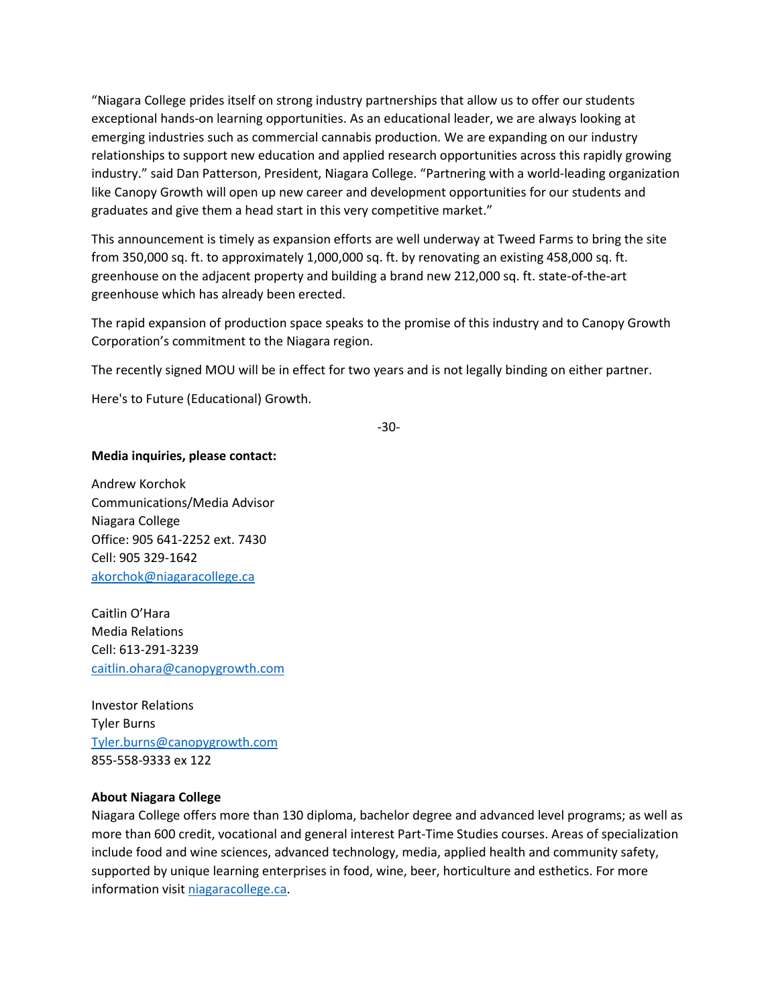"Niagara College prides itself on strong industry partnerships that allow us to offer our students exceptional hands-on learning opportunities. As an educational leader, we are always looking at emerging industries such as commercial cannabis production. We are expanding on our industry relationships to support new education and applied research opportunities across this rapidly growing industry." said Dan Patterson, President, Niagara College. "Partnering with a world-leading organization like Canopy Growth will open up new career and development opportunities for our students and graduates and give them a head start in this very competitive market."

This announcement is timely as expansion efforts are well underway at Tweed Farms to bring the site from 350,000 sq. ft. to approximately 1,000,000 sq. ft. by renovating an existing 458,000 sq. ft. greenhouse on the adjacent property and building a brand new 212,000 sq. ft. state-of-the-art greenhouse which has already been erected.

The rapid expansion of production space speaks to the promise of this industry and to Canopy Growth Corporation's commitment to the Niagara region.

The recently signed MOU will be in effect for two years and is not legally binding on either partner.

Here's to Future (Educational) Growth.

-30-

#### **Media inquiries, please contact:**

Andrew Korchok Communications/Media Advisor Niagara College Office: 905 641-2252 ext. 7430 Cell: 905 329-1642 [akorchok@niagaracollege.ca](mailto:akorchok@niagaracollege.ca)

Caitlin O'Hara Media Relations Cell: 613-291-3239 [caitlin.ohara@canopygrowth.com](mailto:caitlin.ohara@canopygrowth.com)

Investor Relations Tyler Burns [Tyler.burns@canopygrowth.com](mailto:Tyler.burns@canopygrowth.com) 855-558-9333 ex 122

#### **About Niagara College**

Niagara College offers more than 130 diploma, bachelor degree and advanced level programs; as well as more than 600 credit, vocational and general interest Part-Time Studies courses. Areas of specialization include food and wine sciences, advanced technology, media, applied health and community safety, supported by unique learning enterprises in food, wine, beer, horticulture and esthetics. For more information visit [niagaracollege.ca.](http://niagaracollege.ca/)